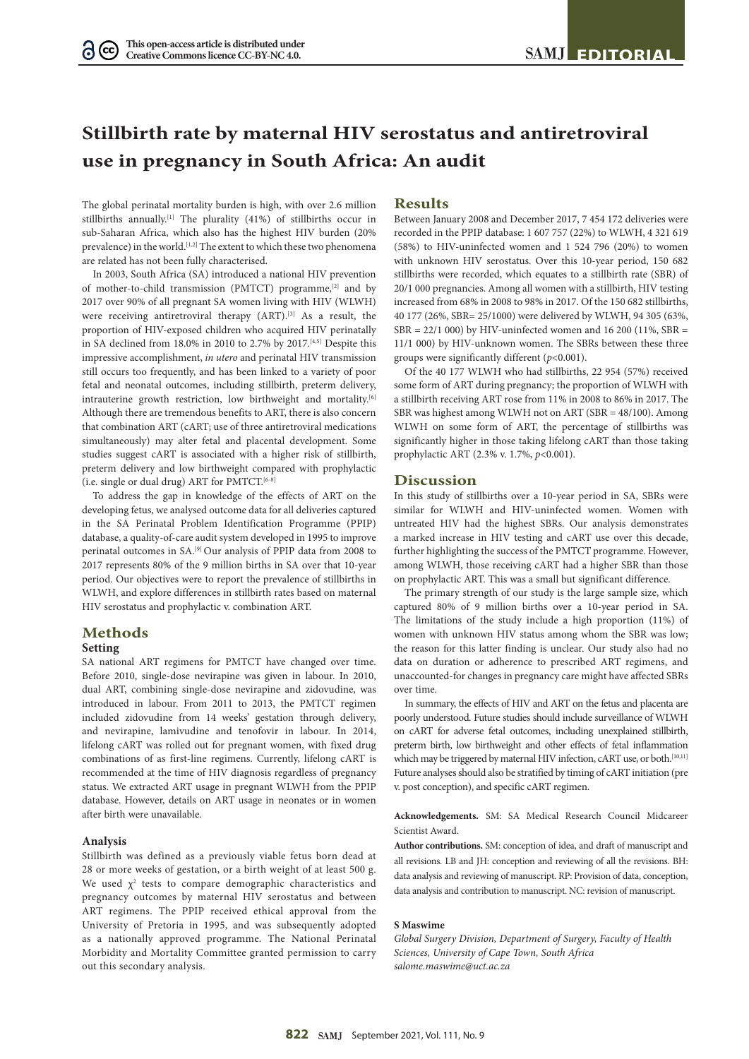# **Stillbirth rate by maternal HIV serostatus and antiretroviral use in pregnancy in South Africa: An audit**

The global perinatal mortality burden is high, with over 2.6 million stillbirths annually.[1] The plurality (41%) of stillbirths occur in sub-Saharan Africa, which also has the highest HIV burden (20% prevalence) in the world.<sup>[1,2]</sup> The extent to which these two phenomena are related has not been fully characterised.

In 2003, South Africa (SA) introduced a national HIV prevention of mother-to-child transmission (PMTCT) programme,<sup>[2]</sup> and by 2017 over 90% of all pregnant SA women living with HIV (WLWH) were receiving antiretroviral therapy (ART).<sup>[3]</sup> As a result, the proportion of HIV-exposed children who acquired HIV perinatally in SA declined from 18.0% in 2010 to 2.7% by 2017.<sup>[4,5]</sup> Despite this impressive accomplishment, *in utero* and perinatal HIV transmission still occurs too frequently, and has been linked to a variety of poor fetal and neonatal outcomes, including stillbirth, preterm delivery, intrauterine growth restriction, low birthweight and mortality.<sup>[6]</sup> Although there are tremendous benefits to ART, there is also concern that combination ART (cART; use of three antiretroviral medications simultaneously) may alter fetal and placental development. Some studies suggest cART is associated with a higher risk of stillbirth, preterm delivery and low birthweight compared with prophylactic (i.e. single or dual drug) ART for PMTCT. $[6-8]$ 

To address the gap in knowledge of the effects of ART on the developing fetus, we analysed outcome data for all deliveries captured in the SA Perinatal Problem Identification Programme (PPIP) database, a quality-of-care audit system developed in 1995 to improve perinatal outcomes in SA.[9] Our analysis of PPIP data from 2008 to 2017 represents 80% of the 9 million births in SA over that 10-year period. Our objectives were to report the prevalence of stillbirths in WLWH, and explore differences in stillbirth rates based on maternal HIV serostatus and prophylactic v. combination ART.

## **Methods Setting**

SA national ART regimens for PMTCT have changed over time. Before 2010, single-dose nevirapine was given in labour. In 2010, dual ART, combining single-dose nevirapine and zidovudine, was introduced in labour. From 2011 to 2013, the PMTCT regimen included zidovudine from 14 weeks' gestation through delivery, and nevirapine, lamivudine and tenofovir in labour. In 2014, lifelong cART was rolled out for pregnant women, with fixed drug combinations of as first-line regimens. Currently, lifelong cART is recommended at the time of HIV diagnosis regardless of pregnancy status. We extracted ART usage in pregnant WLWH from the PPIP database. However, details on ART usage in neonates or in women after birth were unavailable.

## **Analysis**

Stillbirth was defined as a previously viable fetus born dead at 28 or more weeks of gestation, or a birth weight of at least 500 g. We used  $\chi^2$  tests to compare demographic characteristics and pregnancy outcomes by maternal HIV serostatus and between ART regimens. The PPIP received ethical approval from the University of Pretoria in 1995, and was subsequently adopted as a nationally approved programme. The National Perinatal Morbidity and Mortality Committee granted permission to carry out this secondary analysis.

# **Results**

Between January 2008 and December 2017, 7 454 172 deliveries were recorded in the PPIP database: 1 607 757 (22%) to WLWH, 4 321 619 (58%) to HIV-uninfected women and 1 524 796 (20%) to women with unknown HIV serostatus. Over this 10-year period, 150 682 stillbirths were recorded, which equates to a stillbirth rate (SBR) of 20/1 000 pregnancies. Among all women with a stillbirth, HIV testing increased from 68% in 2008 to 98% in 2017. Of the 150 682 stillbirths, 40 177 (26%, SBR= 25/1000) were delivered by WLWH, 94 305 (63%,  $SBR = 22/1000$ ) by HIV-uninfected women and 16 200 (11%, SBR = 11/1 000) by HIV-unknown women. The SBRs between these three groups were significantly different (*p*<0.001).

Of the 40 177 WLWH who had stillbirths, 22 954 (57%) received some form of ART during pregnancy; the proportion of WLWH with a stillbirth receiving ART rose from 11% in 2008 to 86% in 2017. The SBR was highest among WLWH not on ART (SBR = 48/100). Among WLWH on some form of ART, the percentage of stillbirths was significantly higher in those taking lifelong cART than those taking prophylactic ART (2.3% v. 1.7%, *p*<0.001).

# **Discussion**

In this study of stillbirths over a 10-year period in SA, SBRs were similar for WLWH and HIV-uninfected women. Women with untreated HIV had the highest SBRs. Our analysis demonstrates a marked increase in HIV testing and cART use over this decade, further highlighting the success of the PMTCT programme. However, among WLWH, those receiving cART had a higher SBR than those on prophylactic ART. This was a small but significant difference.

The primary strength of our study is the large sample size, which captured 80% of 9 million births over a 10-year period in SA. The limitations of the study include a high proportion (11%) of women with unknown HIV status among whom the SBR was low; the reason for this latter finding is unclear. Our study also had no data on duration or adherence to prescribed ART regimens, and unaccounted-for changes in pregnancy care might have affected SBRs over time.

In summary, the effects of HIV and ART on the fetus and placenta are poorly understood. Future studies should include surveillance of WLWH on cART for adverse fetal outcomes, including unexplained stillbirth, preterm birth, low birthweight and other effects of fetal inflammation which may be triggered by maternal HIV infection, cART use, or both.<sup>[10,11]</sup> Future analyses should also be stratified by timing of cART initiation (pre v. post conception), and specific cART regimen.

**Acknowledgements.** SM: SA Medical Research Council Midcareer Scientist Award.

**Author contributions.** SM: conception of idea, and draft of manuscript and all revisions. LB and JH: conception and reviewing of all the revisions. BH: data analysis and reviewing of manuscript. RP: Provision of data, conception, data analysis and contribution to manuscript. NC: revision of manuscript.

## **S Maswime**

*Global Surgery Division, Department of Surgery, Faculty of Health Sciences, University of Cape Town, South Africa [salome.maswime@uct.ac.za](mailto:salome.maswime@uct.ac.za)*